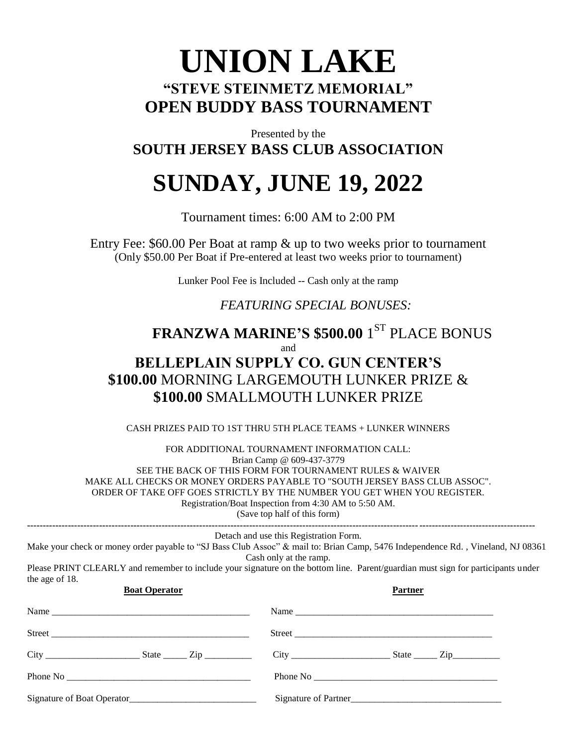## **UNION LAKE "STEVE STEINMETZ MEMORIAL" OPEN BUDDY BASS TOURNAMENT**

Presented by the **SOUTH JERSEY BASS CLUB ASSOCIATION** 

# **SUNDAY, JUNE 19, 2022**

Tournament times: 6:00 AM to 2:00 PM

Entry Fee: \$60.00 Per Boat at ramp & up to two weeks prior to tournament (Only \$50.00 Per Boat if Pre-entered at least two weeks prior to tournament)

Lunker Pool Fee is Included -- Cash only at the ramp

## *FEATURING SPECIAL BONUSES:*

## **FRANZWA MARINE'S \$500.00** 1 ST PLACE BONUS

and

## **BELLEPLAIN SUPPLY CO. GUN CENTER'S \$100.00** MORNING LARGEMOUTH LUNKER PRIZE & **\$100.00** SMALLMOUTH LUNKER PRIZE

CASH PRIZES PAID TO 1ST THRU 5TH PLACE TEAMS + LUNKER WINNERS

FOR ADDITIONAL TOURNAMENT INFORMATION CALL: Brian Camp @ 609-437-3779 SEE THE BACK OF THIS FORM FOR TOURNAMENT RULES & WAIVER MAKE ALL CHECKS OR MONEY ORDERS PAYABLE TO "SOUTH JERSEY BASS CLUB ASSOC". ORDER OF TAKE OFF GOES STRICTLY BY THE NUMBER YOU GET WHEN YOU REGISTER. Registration/Boat Inspection from 4:30 AM to 5:50 AM.

(Save top half of this form)

| the age of 18.       | Detach and use this Registration Form.<br>Make your check or money order payable to "SJ Bass Club Assoc" & mail to: Brian Camp, 5476 Independence Rd., Vineland, NJ 08361<br>Cash only at the ramp.<br>Please PRINT CLEARLY and remember to include your signature on the bottom line. Parent/guardian must sign for participants under |
|----------------------|-----------------------------------------------------------------------------------------------------------------------------------------------------------------------------------------------------------------------------------------------------------------------------------------------------------------------------------------|
| <b>Boat Operator</b> | <b>Partner</b>                                                                                                                                                                                                                                                                                                                          |
|                      | Name                                                                                                                                                                                                                                                                                                                                    |
|                      |                                                                                                                                                                                                                                                                                                                                         |
|                      | $City$ $City$ $State$ $Zip$                                                                                                                                                                                                                                                                                                             |
|                      |                                                                                                                                                                                                                                                                                                                                         |
|                      | Signature of Partner                                                                                                                                                                                                                                                                                                                    |